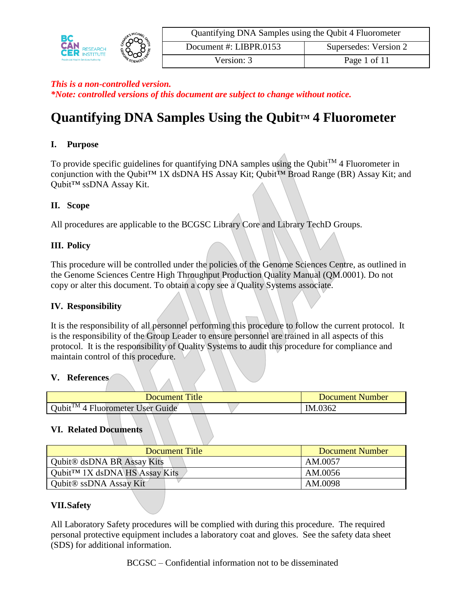| <b>MICHAR</b><br>൷<br><b>RESEARCH</b><br>္လာတုိ<br><b>Provincial Health Services Authority</b><br>SCIENCE | Quantifying DNA Samples using the Qubit 4 Fluorometer |                       |
|-----------------------------------------------------------------------------------------------------------|-------------------------------------------------------|-----------------------|
|                                                                                                           | Document #: LIBPR.0153                                | Supersedes: Version 2 |
|                                                                                                           | Version: 3                                            | Page 1 of 11          |

# **Quantifying DNA Samples Using the QubitTM 4 Fluorometer**

## **I. Purpose**

To provide specific guidelines for quantifying DNA samples using the Qubit<sup>TM</sup> 4 Fluorometer in conjunction with the Qubit™ 1X dsDNA HS Assay Kit; Qubit™ Broad Range (BR) Assay Kit; and Qubit™ ssDNA Assay Kit.

#### **II. Scope**

All procedures are applicable to the BCGSC Library Core and Library TechD Groups.

#### **III. Policy**

This procedure will be controlled under the policies of the Genome Sciences Centre, as outlined in the Genome Sciences Centre High Throughput Production Quality Manual (QM.0001). Do not copy or alter this document. To obtain a copy see a Quality Systems associate.

#### **IV. Responsibility**

It is the responsibility of all personnel performing this procedure to follow the current protocol. It is the responsibility of the Group Leader to ensure personnel are trained in all aspects of this protocol. It is the responsibility of Quality Systems to audit this procedure for compliance and maintain control of this procedure.

#### **V. References**

| <b>Document Title</b>                           | Document Number |
|-------------------------------------------------|-----------------|
| Oubit <sup>TM</sup> 4<br>Fluorometer User Guide | IM.0362         |

#### **VI. Related Documents**

| Document Title                               | Document Number |
|----------------------------------------------|-----------------|
| <b>Qubit<sup>®</sup></b> dsDNA BR Assay Kits | AM.0057         |
| Qubit <sup>TM</sup> 1X dsDNA HS Assay Kits   | AM.0056         |
| Qubit <sup>®</sup> ssDNA Assay Kit           | AM.0098         |

# **VII.Safety**

All Laboratory Safety procedures will be complied with during this procedure. The required personal protective equipment includes a laboratory coat and gloves. See the safety data sheet (SDS) for additional information.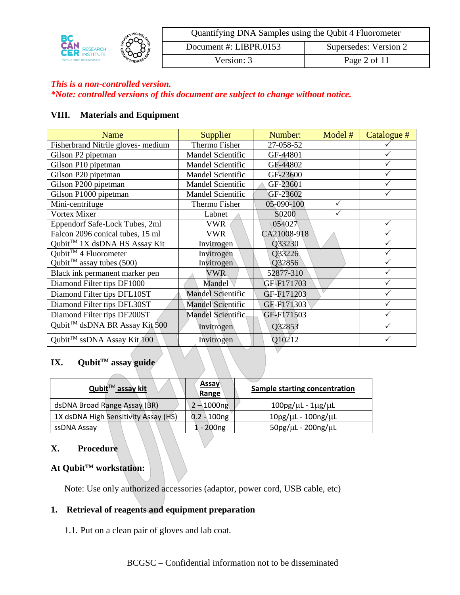| <b>MICHAF,</b><br>ഹ∼<br><b>CER RESEARCH</b><br><b>RESEARCH</b><br>్రాండి<br><b>Provincial Health Services Authority</b><br>SCIENCE |                        | Quantifying DNA Samples using the Qubit 4 Fluorometer |              |
|------------------------------------------------------------------------------------------------------------------------------------|------------------------|-------------------------------------------------------|--------------|
|                                                                                                                                    | Document #: LIBPR.0153 | Supersedes: Version 2                                 |              |
|                                                                                                                                    |                        | Version: 3                                            | Page 2 of 11 |

#### **VIII. Materials and Equipment**

| Name                                      | <b>Supplier</b>          | Number:     | Model #      | Catalogue #  |
|-------------------------------------------|--------------------------|-------------|--------------|--------------|
| Fisherbrand Nitrile gloves- medium        | Thermo Fisher            | 27-058-52   |              |              |
| Gilson P2 pipetman                        | Mandel Scientific        | GF-44801    |              |              |
| Gilson P10 pipetman                       | <b>Mandel Scientific</b> | GF-44802    |              |              |
| Gilson P20 pipetman                       | Mandel Scientific        | GF-23600    |              |              |
| Gilson P200 pipetman                      | Mandel Scientific        | GF-23601    |              |              |
| Gilson P1000 pipetman                     | Mandel Scientific        | GF-23602    |              |              |
| Mini-centrifuge                           | Thermo Fisher            | 05-090-100  | $\checkmark$ |              |
| Vortex Mixer                              | Labnet                   | S0200       |              |              |
| Eppendorf Safe-Lock Tubes, 2ml            | <b>VWR</b>               | 054027      |              | $\checkmark$ |
| Falcon 2096 conical tubes, 15 ml          | VWR                      | CA21008-918 |              |              |
| Qubit <sup>™</sup> 1X dsDNA HS Assay Kit  | Invitrogen               | Q33230      |              |              |
| Qubit™ 4 Fluorometer                      | Invitrogen               | Q33226      |              |              |
| Qubit <sup>TM</sup> assay tubes (500)     | Invitrogen               | Q32856      |              | ✓            |
| Black ink permanent marker pen            | <b>VWR</b>               | 52877-310   |              |              |
| Diamond Filter tips DF1000                | Mandel                   | GF-F171703  |              |              |
| Diamond Filter tips DFL10ST               | <b>Mandel Scientific</b> | GF-F171203  |              |              |
| Diamond Filter tips DFL30ST               | <b>Mandel Scientific</b> | GF-F171303  |              | ✓            |
| Diamond Filter tips DF200ST               | Mandel Scientific        | GF-F171503  |              |              |
| Qubit <sup>™</sup> dsDNA BR Assay Kit 500 | Invitrogen               | Q32853      |              |              |
| Qubit <sup>TM</sup> ssDNA Assay Kit $100$ | Invitrogen               | Q10212      |              | ✓            |
|                                           |                          |             |              |              |

# **IX. QubitTM assay guide**

| Qubit <sup>™</sup> assay kit         | <b>Assay</b><br>Range | Sample starting concentration         |
|--------------------------------------|-----------------------|---------------------------------------|
| dsDNA Broad Range Assay (BR)         | $2 - 1000$ ng         | $100$ pg/ $\mu$ L - $1\mu$ g/ $\mu$ L |
| 1X dsDNA High Sensitivity Assay (HS) | $0.2 - 100$ ng        | $10pg/µL - 100ng/µL$                  |
| ssDNA Assay                          | $1 - 200$ ng          | $50$ pg/ $\mu$ L - 200ng/ $\mu$ L     |

#### **X. Procedure**

# **At QubitTM workstation:**

Note: Use only authorized accessories (adaptor, power cord, USB cable, etc)

## **1. Retrieval of reagents and equipment preparation**

1.1. Put on a clean pair of gloves and lab coat.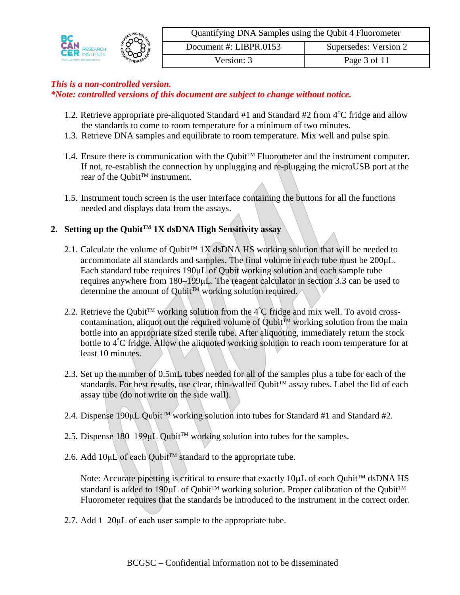| <b>CER RESEARCH</b><br><b>Provincial Health Services Authority</b> | <b>MICHAE</b><br>∩ന | Quantifying DNA Samples using the Qubit 4 Fluorometer |                       |  |
|--------------------------------------------------------------------|---------------------|-------------------------------------------------------|-----------------------|--|
|                                                                    | ာထ                  | Document #: LIBPR.0153                                | Supersedes: Version 2 |  |
|                                                                    | SCIENCE             | Version: 3                                            | Page 3 of 11          |  |

- 1.2. Retrieve appropriate pre-aliquoted Standard  $#1$  and Standard  $#2$  from  $4^{\circ}C$  fridge and allow the standards to come to room temperature for a minimum of two minutes.
- 1.3. Retrieve DNA samples and equilibrate to room temperature. Mix well and pulse spin.
- 1.4. Ensure there is communication with the Qubit<sup>TM</sup> Fluorometer and the instrument computer. If not, re-establish the connection by unplugging and re-plugging the microUSB port at the rear of the Qubit<sup>™</sup> instrument.
- 1.5. Instrument touch screen is the user interface containing the buttons for all the functions needed and displays data from the assays.

# **2. Setting up the QubitTM 1X dsDNA High Sensitivity assay**

- 2.1. Calculate the volume of Qubit<sup>TM</sup> 1X dsDNA HS working solution that will be needed to accommodate all standards and samples. The final volume in each tube must be 200μL. Each standard tube requires 190μL of Qubit working solution and each sample tube requires anywhere from 180–199μL. The reagent calculator in section 3.3 can be used to determine the amount of Qubit<sup>TM</sup> working solution required.
- 2.2. Retrieve the Qubit<sup>TM</sup> working solution from the  $4^{\circ}$ C fridge and mix well. To avoid crosscontamination, aliquot out the required volume of Qubit<sup>TM</sup> working solution from the main bottle into an appropriate sized sterile tube. After aliquoting, immediately return the stock bottle to 4 °C fridge. Allow the aliquoted working solution to reach room temperature for at least 10 minutes.
- 2.3. Set up the number of 0.5mL tubes needed for all of the samples plus a tube for each of the standards. For best results, use clear, thin-walled Qubit™ assay tubes. Label the lid of each assay tube (do not write on the side wall).
- 2.4. Dispense 190μL Qubit<sup>™</sup> working solution into tubes for Standard #1 and Standard #2.
- 2.5. Dispense 180–199µL Qubit<sup>™</sup> working solution into tubes for the samples.
- 2.6. Add  $10\mu L$  of each Qubit<sup>TM</sup> standard to the appropriate tube.

Note: Accurate pipetting is critical to ensure that exactly  $10\mu$ L of each Qubit<sup>TM</sup> dsDNA HS standard is added to 190 $\mu$ L of Qubit<sup>TM</sup> working solution. Proper calibration of the Qubit<sup>TM</sup> Fluorometer requires that the standards be introduced to the instrument in the correct order.

2.7. Add 1–20μL of each user sample to the appropriate tube.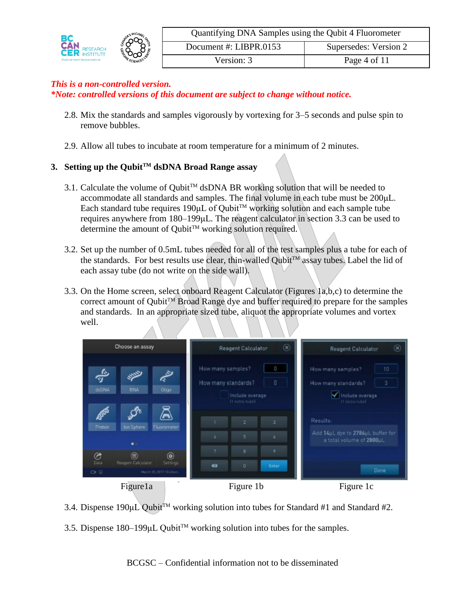| ∩⊙∩<br>čËR<br><b>RESEARCH</b><br>ౣ౦య<br><b>Provincial Health Services Authority</b> | MICHAR. | Quantifying DNA Samples using the Qubit 4 Fluorometer |                       |  |
|-------------------------------------------------------------------------------------|---------|-------------------------------------------------------|-----------------------|--|
|                                                                                     |         | Document #: $LIBPR.0153$                              | Supersedes: Version 2 |  |
|                                                                                     | SCIENCE | Version: 3                                            | Page 4 of 11          |  |

- 2.8. Mix the standards and samples vigorously by vortexing for 3–5 seconds and pulse spin to remove bubbles.
- 2.9. Allow all tubes to incubate at room temperature for a minimum of 2 minutes.

# **3. Setting up the QubitTM dsDNA Broad Range assay**

- 3.1. Calculate the volume of Qubit<sup>TM</sup> dsDNA BR working solution that will be needed to accommodate all standards and samples. The final volume in each tube must be 200μL. Each standard tube requires  $190 \mu L$  of Qubit<sup>TM</sup> working solution and each sample tube requires anywhere from 180–199μL. The reagent calculator in section 3.3 can be used to determine the amount of QubitTM working solution required.
- 3.2. Set up the number of 0.5mL tubes needed for all of the test samples plus a tube for each of the standards. For best results use clear, thin-walled Qubit<sup>TM</sup> assay tubes. Label the lid of each assay tube (do not write on the side wall).
- 3.3. On the Home screen, select onboard Reagent Calculator (Figures 1a,b,c) to determine the correct amount of Qubit<sup>TM</sup> Broad Range dye and buffer required to prepare for the samples and standards. In an appropriate sized tube, aliquot the appropriate volumes and vortex well.



3.4. Dispense 190µL Qubit<sup>TM</sup> working solution into tubes for Standard #1 and Standard #2.

3.5. Dispense 180–199μL Qubit<sup>™</sup> working solution into tubes for the samples.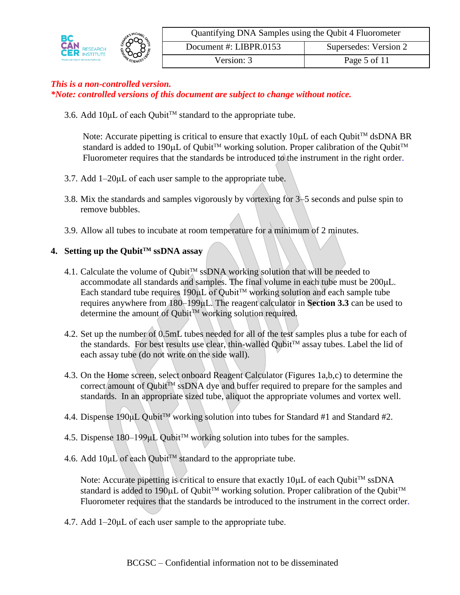

3.6. Add 10µL of each Qubit™ standard to the appropriate tube.

Note: Accurate pipetting is critical to ensure that exactly  $10\mu L$  of each Qubit<sup>TM</sup> dsDNA BR standard is added to 190µL of Qubit<sup>™</sup> working solution. Proper calibration of the Qubit<sup>™</sup> Fluorometer requires that the standards be introduced to the instrument in the right order.

- 3.7. Add 1–20μL of each user sample to the appropriate tube.
- 3.8. Mix the standards and samples vigorously by vortexing for 3–5 seconds and pulse spin to remove bubbles.
- 3.9. Allow all tubes to incubate at room temperature for a minimum of 2 minutes.

#### **4. Setting up the QubitTM ssDNA assay**

- 4.1. Calculate the volume of Qubit<sup>TM</sup> ssDNA working solution that will be needed to accommodate all standards and samples. The final volume in each tube must be 200μL. Each standard tube requires 190 $\mu$ L of Qubit<sup>TM</sup> working solution and each sample tube requires anywhere from 180–199μL. The reagent calculator in **Section 3.3** can be used to determine the amount of Qubit™ working solution required.
- 4.2. Set up the number of 0.5mL tubes needed for all of the test samples plus a tube for each of the standards. For best results use clear, thin-walled Oubit<sup>TM</sup> assay tubes. Label the lid of each assay tube (do not write on the side wall).
- 4.3. On the Home screen, select onboard Reagent Calculator (Figures 1a,b,c) to determine the correct amount of Qubit<sup>TM</sup> ssDNA dye and buffer required to prepare for the samples and standards. In an appropriate sized tube, aliquot the appropriate volumes and vortex well.
- 4.4. Dispense 190 $\mu$ L Qubit<sup>TM</sup> working solution into tubes for Standard #1 and Standard #2.
- 4.5. Dispense 180–199µL Qubit<sup>™</sup> working solution into tubes for the samples.
- 4.6. Add  $10\mu L$  of each Qubit<sup>TM</sup> standard to the appropriate tube.

Note: Accurate pipetting is critical to ensure that exactly  $10\mu L$  of each Qubit<sup>TM</sup> ssDNA standard is added to 190 $\mu$ L of Oubit<sup>TM</sup> working solution. Proper calibration of the Oubit<sup>TM</sup> Fluorometer requires that the standards be introduced to the instrument in the correct order.

4.7. Add 1–20μL of each user sample to the appropriate tube.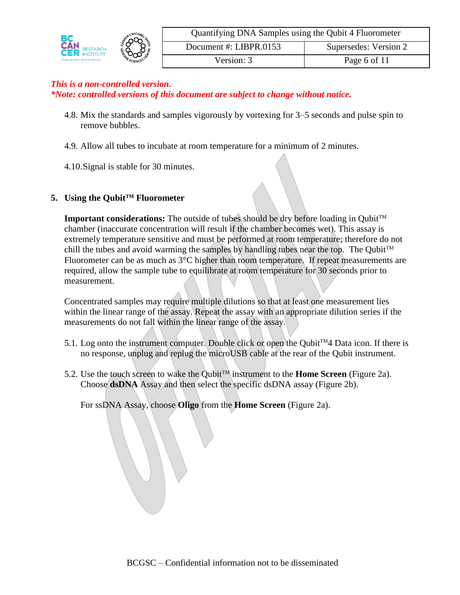

- 4.8. Mix the standards and samples vigorously by vortexing for 3–5 seconds and pulse spin to remove bubbles.
- 4.9. Allow all tubes to incubate at room temperature for a minimum of 2 minutes.
- 4.10.Signal is stable for 30 minutes.

# **5. Using the QubitTM Fluorometer**

**Important considerations:** The outside of tubes should be dry before loading in Qubit<sup>TM</sup> chamber (inaccurate concentration will result if the chamber becomes wet). This assay is extremely temperature sensitive and must be performed at room temperature; therefore do not chill the tubes and avoid warming the samples by handling tubes near the top. The Oubit<sup>TM</sup> Fluorometer can be as much as 3<sup>o</sup>C higher than room temperature. If repeat measurements are required, allow the sample tube to equilibrate at room temperature for 30 seconds prior to measurement.

Concentrated samples may require multiple dilutions so that at least one measurement lies within the linear range of the assay. Repeat the assay with an appropriate dilution series if the measurements do not fall within the linear range of the assay.

- 5.1. Log onto the instrument computer. Double click or open the Qubit<sup>TM4</sup> Data icon. If there is no response, unplug and replug the microUSB cable at the rear of the Qubit instrument.
- 5.2. Use the touch screen to wake the Qubit<sup>TM</sup> instrument to the **Home Screen** (Figure 2a). Choose **dsDNA** Assay and then select the specific dsDNA assay (Figure 2b).

For ssDNA Assay, choose **Oligo** from the **Home Screen** (Figure 2a).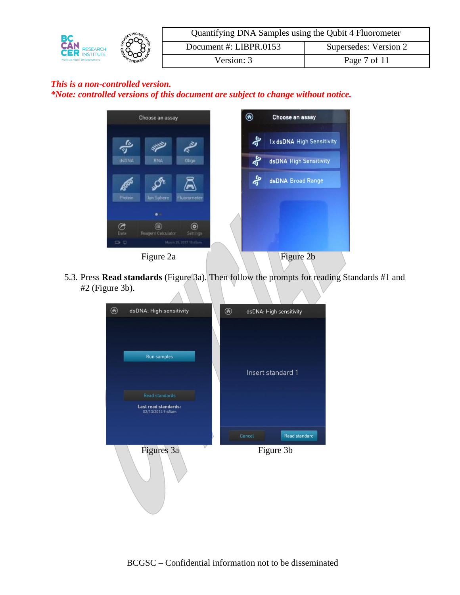|                                                           | <b>MICHAR</b><br>റവ | Quantifying DNA Samples using the Qubit 4 Fluorometer |                       |
|-----------------------------------------------------------|---------------------|-------------------------------------------------------|-----------------------|
| <b>CAN</b><br><b>RESEARCH</b><br>್ಷುಂ<br><b>INSTITUTE</b> |                     | Document #: LIBPR.0153                                | Supersedes: Version 2 |
| <b>Provincial Health Services Authority</b>               | SCIENCE             | $\sqrt{ersion: } 3$                                   | Page 7 of 11          |



5.3. Press **Read standards** (Figure 3a). Then follow the prompts for reading Standards #1 and #2 (Figure 3b).

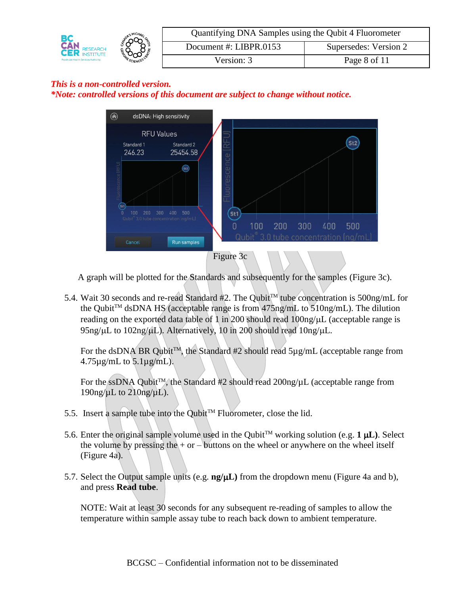



A graph will be plotted for the Standards and subsequently for the samples (Figure 3c).

5.4. Wait 30 seconds and re-read Standard #2. The Qubit<sup>TM</sup> tube concentration is 500ng/mL for the Qubit<sup>TM</sup> dsDNA HS (acceptable range is from  $475$ ng/mL to  $510$ ng/mL). The dilution reading on the exported data table of 1 in 200 should read  $100$ ng/ $\mu$ L (acceptable range is  $95$ ng/ $\mu$ L to 102ng/ $\mu$ L). Alternatively, 10 in 200 should read 10ng/ $\mu$ L.

For the dsDNA BR Qubit<sup>TM</sup>, the Standard #2 should read  $5\mu g/mL$  (acceptable range from  $4.75\mu$ g/mL to  $5.1\mu$ g/mL).

For the ssDNA Qubit<sup>TM</sup>, the Standard #2 should read  $200$ ng/ $\mu$ L (acceptable range from  $190$ ng/µL to  $210$ ng/µL).

- 5.5. Insert a sample tube into the Qubit<sup>TM</sup> Fluorometer, close the lid.
- 5.6. Enter the original sample volume used in the Qubit<sup>TM</sup> working solution (e.g. 1  $\mu$ L). Select the volume by pressing the  $+$  or  $-$  buttons on the wheel or anywhere on the wheel itself (Figure 4a).
- 5.7. Select the Output sample units (e.g. **ng/L)** from the dropdown menu (Figure 4a and b), and press **Read tube**.

NOTE: Wait at least 30 seconds for any subsequent re-reading of samples to allow the temperature within sample assay tube to reach back down to ambient temperature.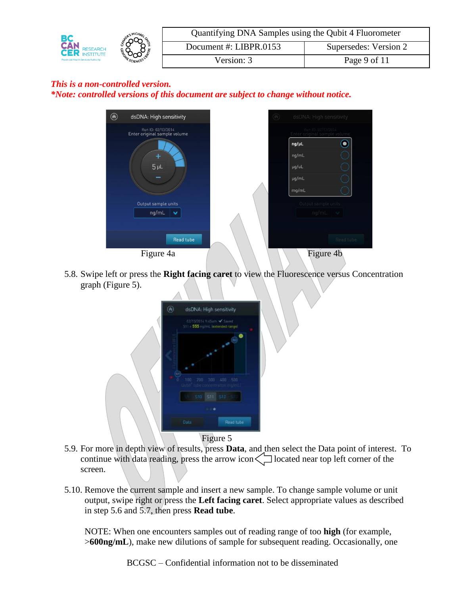



5.8. Swipe left or press the **Right facing caret** to view the Fluorescence versus Concentration graph (Figure 5).



- 5.9. For more in depth view of results, press **Data**, and then select the Data point of interest. To continue with data reading, press the arrow icon $\leq$  located near top left corner of the screen.
- 5.10. Remove the current sample and insert a new sample. To change sample volume or unit output, swipe right or press the **Left facing caret**. Select appropriate values as described in step 5.6 and 5.7, then press **Read tube**.

NOTE: When one encounters samples out of reading range of too **high** (for example, >**600ng/mL**), make new dilutions of sample for subsequent reading. Occasionally, one

BCGSC – Confidential information not to be disseminated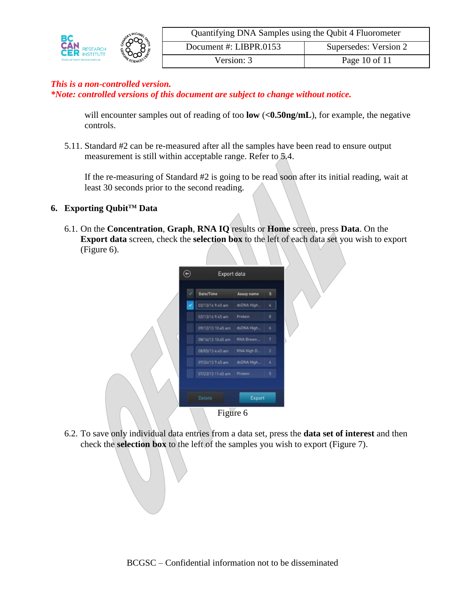|                                             | <b>MICHAE</b><br>ით | Quantifying DNA Samples using the Qubit 4 Fluorometer |                       |  |
|---------------------------------------------|---------------------|-------------------------------------------------------|-----------------------|--|
| <b>CAN RESEARCH</b><br><b>RESEARCH</b>      |                     | Document #: LIBPR.0153                                | Supersedes: Version 2 |  |
| <b>Provincial Health Services Authority</b> | ౣఄఀઌૺઌ<br>SCIENCE   | Version: 3                                            | Page 10 of 11         |  |

will encounter samples out of reading of too **low** (<0.50ng/mL), for example, the negative controls.

5.11. Standard #2 can be re-measured after all the samples have been read to ensure output measurement is still within acceptable range. Refer to 5.4.

If the re-measuring of Standard #2 is going to be read soon after its initial reading, wait at least 30 seconds prior to the second reading.

#### **6. Exporting QubitTM Data**

6.1. On the **Concentration**, **Graph**, **RNA IQ** results or **Home** screen, press **Data**. On the **Export data** screen, check the **selection box** to the left of each data set you wish to export (Figure 6).

| Date/Time         | Assay name | $\mathsf{s}$            |  |
|-------------------|------------|-------------------------|--|
| 02/13/14 9:40 am  | dsDNA High | $\overline{\mathbf{4}}$ |  |
| 02/13/14 9-45 am  | Protein    | 8                       |  |
| 09/12/13 10:45 am | dsDNA High | 6                       |  |
| 08/16/13 10:45 am | RNA Brown  | 7                       |  |
| 08/05/13 4:45 am  | RNA High D | $\overline{\mathbf{z}}$ |  |
| 07/24/13 7:45 am  | dsDNA High | à                       |  |
| 07/23/13 11:45 am | Protein    | 5                       |  |
| <b>Detett</b>     | Export     |                         |  |

6.2. To save only individual data entries from a data set, press the **data set of interest** and then check the **selection box** to the left of the samples you wish to export (Figure 7).